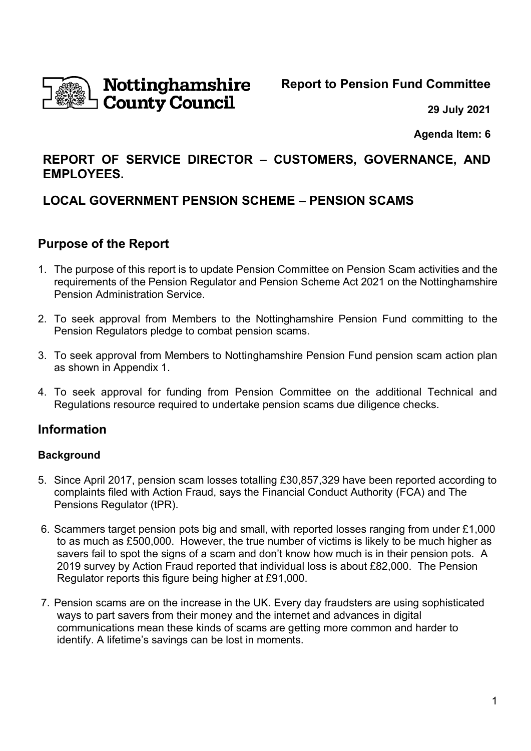

**Report to Pension Fund Committee**

**29 July 2021**

**Agenda Item: 6**

## **REPORT OF SERVICE DIRECTOR – CUSTOMERS, GOVERNANCE, AND EMPLOYEES.**

# **LOCAL GOVERNMENT PENSION SCHEME – PENSION SCAMS**

## **Purpose of the Report**

- 1. The purpose of this report is to update Pension Committee on Pension Scam activities and the requirements of the Pension Regulator and Pension Scheme Act 2021 on the Nottinghamshire Pension Administration Service.
- 2. To seek approval from Members to the Nottinghamshire Pension Fund committing to the Pension Regulators pledge to combat pension scams.
- 3. To seek approval from Members to Nottinghamshire Pension Fund pension scam action plan as shown in Appendix 1.
- 4. To seek approval for funding from Pension Committee on the additional Technical and Regulations resource required to undertake pension scams due diligence checks.

# **Information**

## **Background**

- 5. Since April 2017, pension scam losses totalling £30,857,329 have been reported according to complaints filed with Action Fraud, says the Financial Conduct Authority (FCA) and The Pensions Regulator (tPR).
- 6. Scammers target pension pots big and small, with reported losses ranging from under £1,000 to as much as £500,000. However, the true number of victims is likely to be much higher as savers fail to spot the signs of a scam and don't know how much is in their pension pots. A 2019 survey by Action Fraud reported that individual loss is about £82,000. The Pension Regulator reports this figure being higher at £91,000.
- 7. Pension scams are on the increase in the UK. Every day fraudsters are using sophisticated ways to part savers from their money and the internet and advances in digital communications mean these kinds of scams are getting more common and harder to identify. A lifetime's savings can be lost in moments.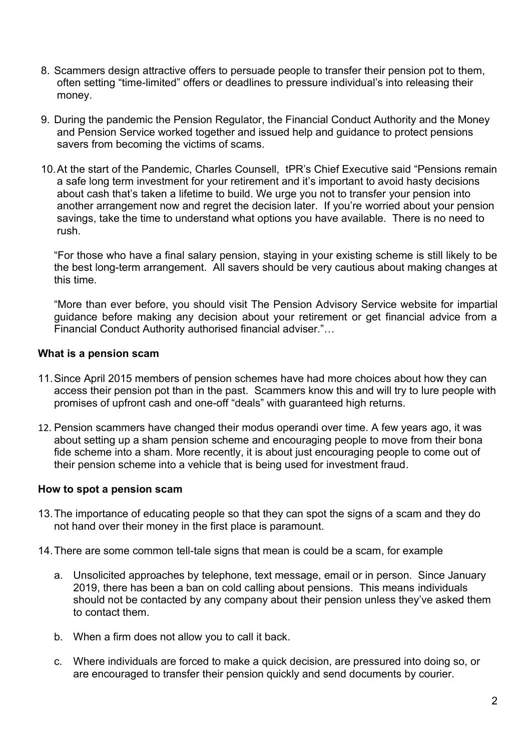- 8. Scammers design attractive offers to persuade people to transfer their pension pot to them, often setting "time-limited" offers or deadlines to pressure individual's into releasing their money.
- 9. During the pandemic the Pension Regulator, the Financial Conduct Authority and the Money and Pension Service worked together and issued help and guidance to protect pensions savers from becoming the victims of scams.
- 10.At the start of the Pandemic, Charles Counsell, tPR's Chief Executive said "Pensions remain a safe long term investment for your retirement and it's important to avoid hasty decisions about cash that's taken a lifetime to build. We urge you not to transfer your pension into another arrangement now and regret the decision later. If you're worried about your pension savings, take the time to understand what options you have available. There is no need to rush.

"For those who have a final salary pension, staying in your existing scheme is still likely to be the best long-term arrangement. All savers should be very cautious about making changes at this time.

"More than ever before, you should visit The Pension Advisory Service website for impartial guidance before making any decision about your retirement or get financial advice from a Financial Conduct Authority authorised financial adviser."…

#### **What is a pension scam**

- 11.Since April 2015 members of pension schemes have had more choices about how they can access their pension pot than in the past. Scammers know this and will try to lure people with promises of upfront cash and one-off "deals" with guaranteed high returns.
- 12. Pension scammers have changed their modus operandi over time. A few years ago, it was about setting up a sham pension scheme and encouraging people to move from their bona fide scheme into a sham. More recently, it is about just encouraging people to come out of their pension scheme into a vehicle that is being used for investment fraud.

#### **How to spot a pension scam**

- 13.The importance of educating people so that they can spot the signs of a scam and they do not hand over their money in the first place is paramount.
- 14.There are some common tell-tale signs that mean is could be a scam, for example
	- a. Unsolicited approaches by telephone, text message, email or in person. Since January 2019, there has been a ban on cold calling about pensions. This means individuals should not be contacted by any company about their pension unless they've asked them to contact them.
	- b. When a firm does not allow you to call it back.
	- c. Where individuals are forced to make a quick decision, are pressured into doing so, or are encouraged to transfer their pension quickly and send documents by courier.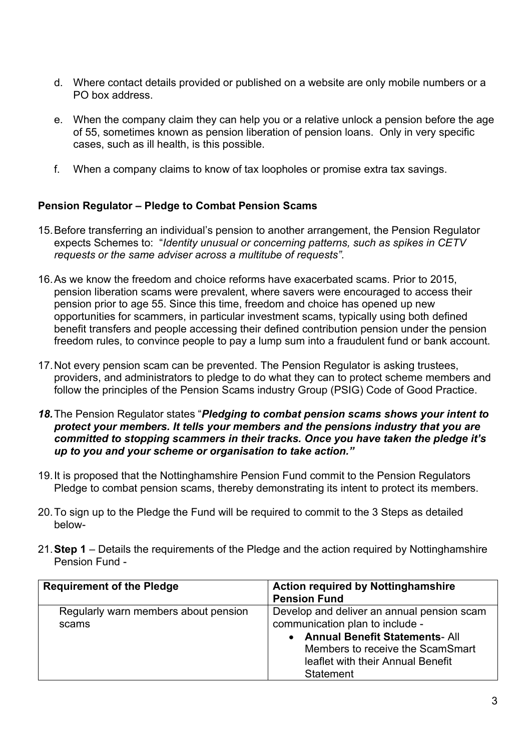- d. Where contact details provided or published on a website are only mobile numbers or a PO box address.
- e. When the company claim they can help you or a relative unlock a pension before the age of 55, sometimes known as pension liberation of pension loans. Only in very specific cases, such as ill health, is this possible.
- f. When a company claims to know of tax loopholes or promise extra tax savings.

## **Pension Regulator – Pledge to Combat Pension Scams**

- 15.Before transferring an individual's pension to another arrangement, the Pension Regulator expects Schemes to: "*Identity unusual or concerning patterns, such as spikes in CETV requests or the same adviser across a multitube of requests".*
- 16.As we know the freedom and choice reforms have exacerbated scams. Prior to 2015, pension liberation scams were prevalent, where savers were encouraged to access their pension prior to age 55. Since this time, freedom and choice has opened up new opportunities for scammers, in particular investment scams, typically using both defined benefit transfers and people accessing their defined contribution pension under the pension freedom rules, to convince people to pay a lump sum into a fraudulent fund or bank account.
- 17.Not every pension scam can be prevented. The Pension Regulator is asking trustees, providers, and administrators to pledge to do what they can to protect scheme members and follow the principles of the Pension Scams industry Group (PSIG) Code of Good Practice.
- *18.*The Pension Regulator states "*Pledging to combat pension scams shows your intent to protect your members. It tells your members and the pensions industry that you are committed to stopping scammers in their tracks. Once you have taken the pledge it's up to you and your scheme or organisation to take action."*
- 19.It is proposed that the Nottinghamshire Pension Fund commit to the Pension Regulators Pledge to combat pension scams, thereby demonstrating its intent to protect its members.
- 20.To sign up to the Pledge the Fund will be required to commit to the 3 Steps as detailed below-
- 21.**Step 1** Details the requirements of the Pledge and the action required by Nottinghamshire Pension Fund -

| <b>Requirement of the Pledge</b>              | <b>Action required by Nottinghamshire</b><br><b>Pension Fund</b>                                                                                                                                               |
|-----------------------------------------------|----------------------------------------------------------------------------------------------------------------------------------------------------------------------------------------------------------------|
| Regularly warn members about pension<br>scams | Develop and deliver an annual pension scam<br>communication plan to include -<br>• Annual Benefit Statements- All<br>Members to receive the ScamSmart<br>leaflet with their Annual Benefit<br><b>Statement</b> |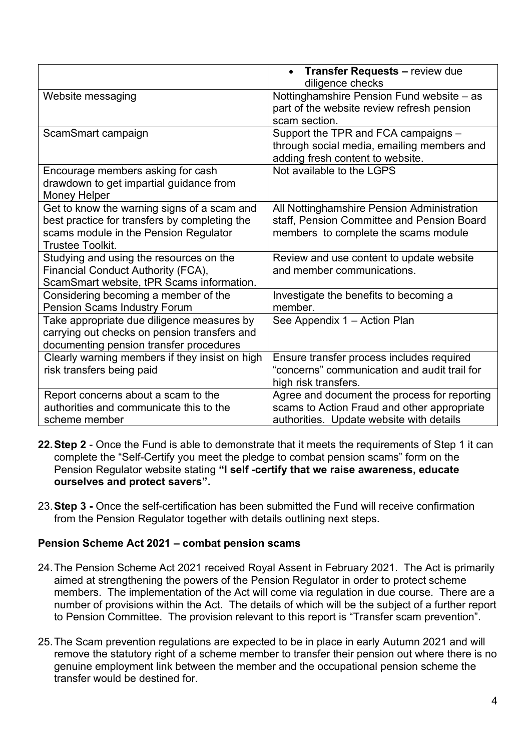|                                                                                                                                                                  | • Transfer Requests - review due<br>diligence checks                                                                                    |
|------------------------------------------------------------------------------------------------------------------------------------------------------------------|-----------------------------------------------------------------------------------------------------------------------------------------|
| Website messaging                                                                                                                                                | Nottinghamshire Pension Fund website - as<br>part of the website review refresh pension<br>scam section.                                |
| ScamSmart campaign                                                                                                                                               | Support the TPR and FCA campaigns -<br>through social media, emailing members and<br>adding fresh content to website.                   |
| Encourage members asking for cash<br>drawdown to get impartial guidance from<br><b>Money Helper</b>                                                              | Not available to the LGPS                                                                                                               |
| Get to know the warning signs of a scam and<br>best practice for transfers by completing the<br>scams module in the Pension Regulator<br><b>Trustee Toolkit.</b> | All Nottinghamshire Pension Administration<br>staff, Pension Committee and Pension Board<br>members to complete the scams module        |
| Studying and using the resources on the<br>Financial Conduct Authority (FCA),<br>ScamSmart website, tPR Scams information.                                       | Review and use content to update website<br>and member communications.                                                                  |
| Considering becoming a member of the<br><b>Pension Scams Industry Forum</b>                                                                                      | Investigate the benefits to becoming a<br>member.                                                                                       |
| Take appropriate due diligence measures by<br>carrying out checks on pension transfers and<br>documenting pension transfer procedures                            | See Appendix 1 - Action Plan                                                                                                            |
| Clearly warning members if they insist on high<br>risk transfers being paid                                                                                      | Ensure transfer process includes required<br>"concerns" communication and audit trail for<br>high risk transfers.                       |
| Report concerns about a scam to the<br>authorities and communicate this to the<br>scheme member                                                                  | Agree and document the process for reporting<br>scams to Action Fraud and other appropriate<br>authorities. Update website with details |

- **22.Step 2** Once the Fund is able to demonstrate that it meets the requirements of Step 1 it can complete the "Self-Certify you meet the pledge to combat pension scams" form on the Pension Regulator website stating **"I self -certify that we raise awareness, educate ourselves and protect savers".**
- 23.**Step 3 -** Once the self-certification has been submitted the Fund will receive confirmation from the Pension Regulator together with details outlining next steps.

## **Pension Scheme Act 2021 – combat pension scams**

- 24.The Pension Scheme Act 2021 received Royal Assent in February 2021. The Act is primarily aimed at strengthening the powers of the Pension Regulator in order to protect scheme members. The implementation of the Act will come via regulation in due course. There are a number of provisions within the Act. The details of which will be the subject of a further report to Pension Committee. The provision relevant to this report is "Transfer scam prevention".
- 25.The Scam prevention regulations are expected to be in place in early Autumn 2021 and will remove the statutory right of a scheme member to transfer their pension out where there is no genuine employment link between the member and the occupational pension scheme the transfer would be destined for.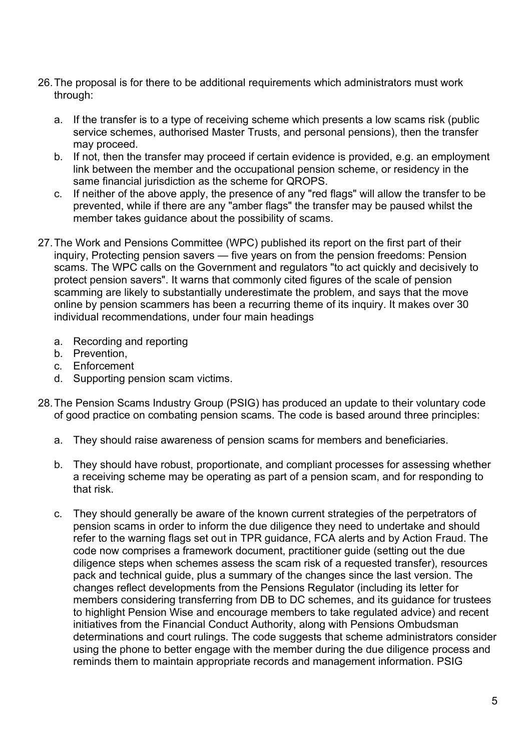- 26.The proposal is for there to be additional requirements which administrators must work through:
	- a. If the transfer is to a type of receiving scheme which presents a low scams risk (public service schemes, authorised Master Trusts, and personal pensions), then the transfer may proceed.
	- b. If not, then the transfer may proceed if certain evidence is provided, e.g. an employment link between the member and the occupational pension scheme, or residency in the same financial jurisdiction as the scheme for QROPS.
	- c. If neither of the above apply, the presence of any "red flags" will allow the transfer to be prevented, while if there are any "amber flags" the transfer may be paused whilst the member takes guidance about the possibility of scams.
- 27.The Work and Pensions Committee (WPC) published its report on the first part of their inquiry, Protecting pension savers — five years on from the pension freedoms: Pension scams. The WPC calls on the Government and regulators "to act quickly and decisively to protect pension savers". It warns that commonly cited figures of the scale of pension scamming are likely to substantially underestimate the problem, and says that the move online by pension scammers has been a recurring theme of its inquiry. It makes over 30 individual recommendations, under four main headings
	- a. Recording and reporting
	- b. Prevention,
	- c. Enforcement
	- d. Supporting pension scam victims.
- 28.The Pension Scams Industry Group (PSIG) has produced an update to their voluntary code of good practice on combating pension scams. The code is based around three principles:
	- a. They should raise awareness of pension scams for members and beneficiaries.
	- b. They should have robust, proportionate, and compliant processes for assessing whether a receiving scheme may be operating as part of a pension scam, and for responding to that risk.
	- c. They should generally be aware of the known current strategies of the perpetrators of pension scams in order to inform the due diligence they need to undertake and should refer to the warning flags set out in TPR guidance, FCA alerts and by Action Fraud. The code now comprises a framework document, practitioner guide (setting out the due diligence steps when schemes assess the scam risk of a requested transfer), resources pack and technical guide, plus a summary of the changes since the last version. The changes reflect developments from the Pensions Regulator (including its letter for members considering transferring from DB to DC schemes, and its guidance for trustees to highlight Pension Wise and encourage members to take regulated advice) and recent initiatives from the Financial Conduct Authority, along with Pensions Ombudsman determinations and court rulings. The code suggests that scheme administrators consider using the phone to better engage with the member during the due diligence process and reminds them to maintain appropriate records and management information. PSIG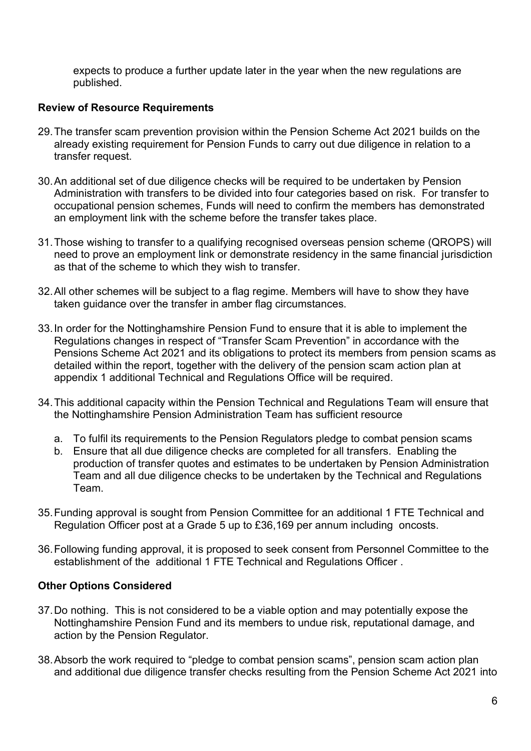expects to produce a further update later in the year when the new regulations are published.

## **Review of Resource Requirements**

- 29.The transfer scam prevention provision within the Pension Scheme Act 2021 builds on the already existing requirement for Pension Funds to carry out due diligence in relation to a transfer request.
- 30.An additional set of due diligence checks will be required to be undertaken by Pension Administration with transfers to be divided into four categories based on risk. For transfer to occupational pension schemes, Funds will need to confirm the members has demonstrated an employment link with the scheme before the transfer takes place.
- 31.Those wishing to transfer to a qualifying recognised overseas pension scheme (QROPS) will need to prove an employment link or demonstrate residency in the same financial jurisdiction as that of the scheme to which they wish to transfer.
- 32.All other schemes will be subject to a flag regime. Members will have to show they have taken guidance over the transfer in amber flag circumstances.
- 33.In order for the Nottinghamshire Pension Fund to ensure that it is able to implement the Regulations changes in respect of "Transfer Scam Prevention" in accordance with the Pensions Scheme Act 2021 and its obligations to protect its members from pension scams as detailed within the report, together with the delivery of the pension scam action plan at appendix 1 additional Technical and Regulations Office will be required.
- 34.This additional capacity within the Pension Technical and Regulations Team will ensure that the Nottinghamshire Pension Administration Team has sufficient resource
	- a. To fulfil its requirements to the Pension Regulators pledge to combat pension scams
	- b. Ensure that all due diligence checks are completed for all transfers. Enabling the production of transfer quotes and estimates to be undertaken by Pension Administration Team and all due diligence checks to be undertaken by the Technical and Regulations Team.
- 35.Funding approval is sought from Pension Committee for an additional 1 FTE Technical and Regulation Officer post at a Grade 5 up to £36,169 per annum including oncosts.
- 36.Following funding approval, it is proposed to seek consent from Personnel Committee to the establishment of the additional 1 FTE Technical and Regulations Officer .

## **Other Options Considered**

- 37.Do nothing. This is not considered to be a viable option and may potentially expose the Nottinghamshire Pension Fund and its members to undue risk, reputational damage, and action by the Pension Regulator.
- 38.Absorb the work required to "pledge to combat pension scams", pension scam action plan and additional due diligence transfer checks resulting from the Pension Scheme Act 2021 into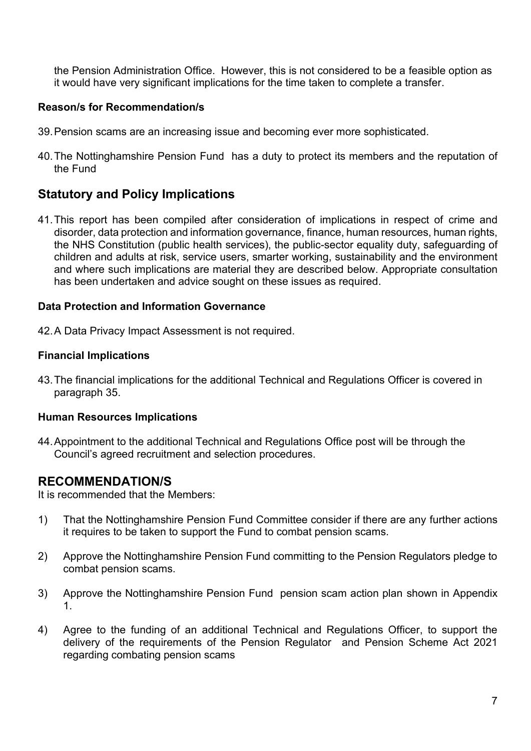the Pension Administration Office. However, this is not considered to be a feasible option as it would have very significant implications for the time taken to complete a transfer.

## **Reason/s for Recommendation/s**

- 39.Pension scams are an increasing issue and becoming ever more sophisticated.
- 40.The Nottinghamshire Pension Fund has a duty to protect its members and the reputation of the Fund

## **Statutory and Policy Implications**

41.This report has been compiled after consideration of implications in respect of crime and disorder, data protection and information governance, finance, human resources, human rights, the NHS Constitution (public health services), the public-sector equality duty, safeguarding of children and adults at risk, service users, smarter working, sustainability and the environment and where such implications are material they are described below. Appropriate consultation has been undertaken and advice sought on these issues as required.

## **Data Protection and Information Governance**

42.A Data Privacy Impact Assessment is not required.

## **Financial Implications**

43.The financial implications for the additional Technical and Regulations Officer is covered in paragraph 35.

## **Human Resources Implications**

44.Appointment to the additional Technical and Regulations Office post will be through the Council's agreed recruitment and selection procedures.

## **RECOMMENDATION/S**

It is recommended that the Members:

- 1) That the Nottinghamshire Pension Fund Committee consider if there are any further actions it requires to be taken to support the Fund to combat pension scams.
- 2) Approve the Nottinghamshire Pension Fund committing to the Pension Regulators pledge to combat pension scams.
- 3) Approve the Nottinghamshire Pension Fund pension scam action plan shown in Appendix 1.
- 4) Agree to the funding of an additional Technical and Regulations Officer, to support the delivery of the requirements of the Pension Regulator and Pension Scheme Act 2021 regarding combating pension scams